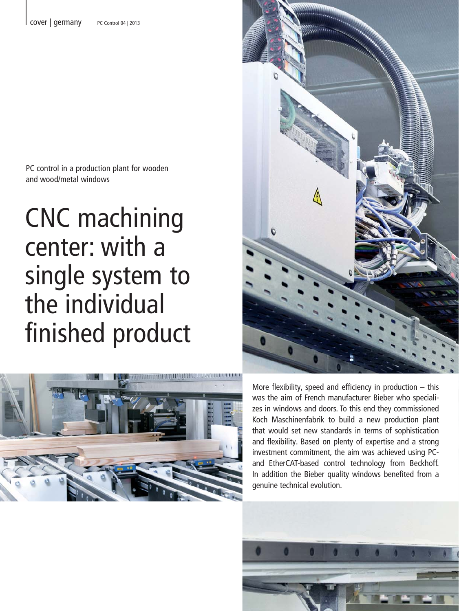PC control in a production plant for wooden and wood/metal windows

# CNC machining center: with a single system to the individual finished product





More flexibility, speed and efficiency in production  $-$  this was the aim of French manufacturer Bieber who specializes in windows and doors. To this end they commissioned Koch Maschinenfabrik to build a new production plant that would set new standards in terms of sophistication and flexibility. Based on plenty of expertise and a strong investment commitment, the aim was achieved using PCand EtherCAT-based control technology from Beckhoff. In addition the Bieber quality windows benefited from a genuine technical evolution.

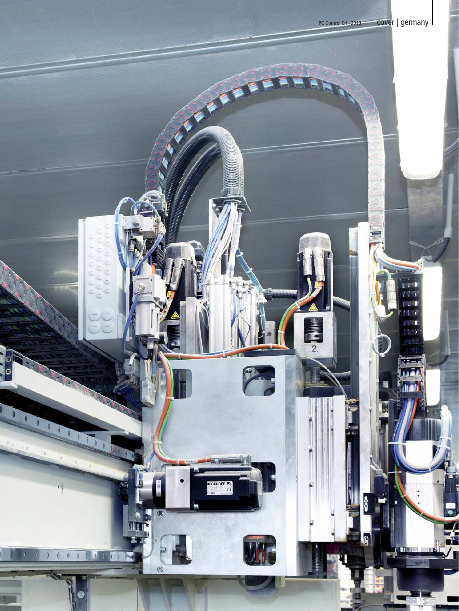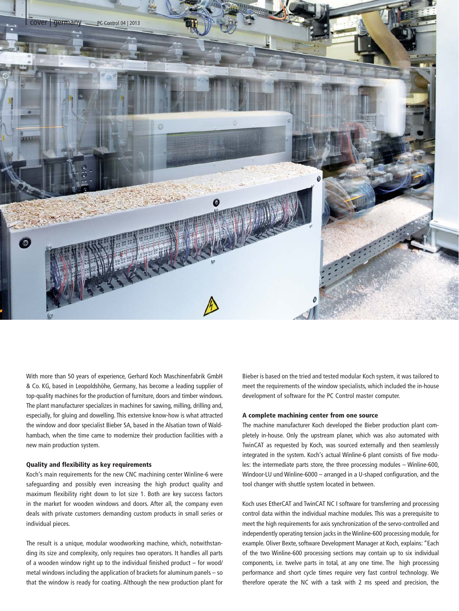

With more than 50 years of experience, Gerhard Koch Maschinenfabrik GmbH & Co. KG, based in Leopoldshöhe, Germany, has become a leading supplier of top-quality machines for the production of furniture, doors and timber windows. The plant manufacturer specializes in machines for sawing, milling, drilling and, especially, for gluing and dowelling. This extensive know-how is what attracted the window and door specialist Bieber SA, based in the Alsatian town of Waldhambach, when the time came to modernize their production facilities with a new main production system.

## Quality and flexibility as key requirements

Koch's main requirements for the new CNC machining center Winline-6 were safeguarding and possibly even increasing the high product quality and maximum flexibility right down to lot size 1. Both are key success factors in the market for wooden windows and doors. After all, the company even deals with private customers demanding custom products in small series or individual pieces.

The result is a unique, modular woodworking machine, which, notwithstanding its size and complexity, only requires two operators. It handles all parts of a wooden window right up to the individual finished product – for wood/ metal windows including the application of brackets for aluminum panels – so that the window is ready for coating. Although the new production plant for

Bieber is based on the tried and tested modular Koch system, it was tailored to meet the requirements of the window specialists, which included the in-house development of software for the PC Control master computer.

#### A complete machining center from one source

The machine manufacturer Koch developed the Bieber production plant completely in-house. Only the upstream planer, which was also automated with TwinCAT as requested by Koch, was sourced externally and then seamlessly integrated in the system. Koch's actual Winline-6 plant consists of five modules: the intermediate parts store, the three processing modules – Winline-600, Windoor-LU und Winline-6000 – arranged in a U-shaped configuration, and the tool changer with shuttle system located in between.

Koch uses EtherCAT and TwinCAT NC I software for transferring and processing control data within the individual machine modules. This was a prerequisite to meet the high requirements for axis synchronization of the servo-controlled and independently operating tension jacks in the Winline-600 processing module, for example. Oliver Bexte, software Development Manager at Koch, explains: "Each of the two Winline-600 processing sections may contain up to six individual components, i.e. twelve parts in total, at any one time. The high processing performance and short cycle times require very fast control technology. We therefore operate the NC with a task with 2 ms speed and precision, the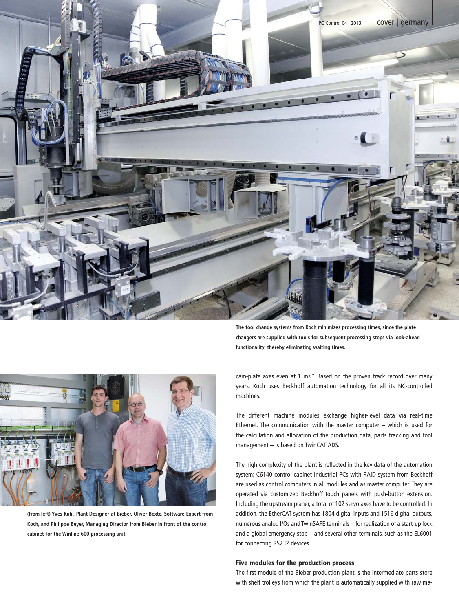

**The tool change systems from Koch minimizes processing times, since the plate changers are supplied with tools for subsequent processing steps via look-ahead functionality, thereby eliminating waiting times.**



**(from left) Yves Kuhl, Plant Designer at Bieber, Oliver Bexte, Software Expert from Koch, and Philippe Beyer, Managing Director from Bieber in front of the control cabinet for the Winline-600 processing unit.**

cam-plate axes even at 1 ms." Based on the proven track record over many years, Koch uses Beckhoff automation technology for all its NC-controlled machines.

The different machine modules exchange higher-level data via real-time Ethernet. The communication with the master computer – which is used for the calculation and allocation of the production data, parts tracking and tool management – is based on TwinCAT ADS.

The high complexity of the plant is reflected in the key data of the automation system: C6140 control cabinet Industrial PCs with RAID system from Beckhoff are used as control computers in all modules and as master computer. They are operated via customized Beckhoff touch panels with push-button extension. Including the upstream planer, a total of 102 servo axes have to be controlled. In addition, the EtherCAT system has 1804 digital inputs and 1516 digital outputs, numerous analog I/Os and TwinSAFE terminals – for realization of a start-up lock and a global emergency stop – and several other terminals, such as the EL6001 for connecting RS232 devices.

### Five modules for the production process

The first module of the Bieber production plant is the intermediate parts store with shelf trolleys from which the plant is automatically supplied with raw ma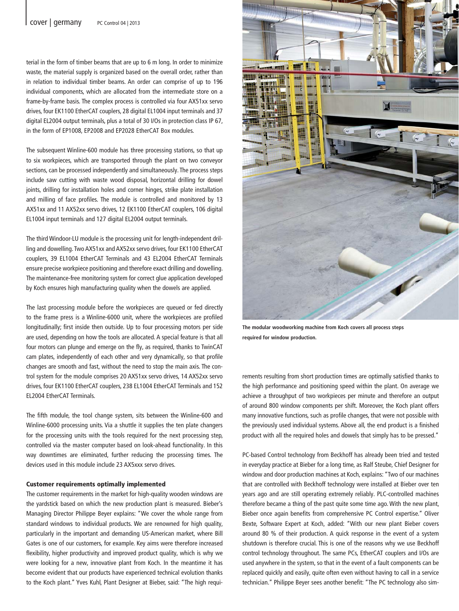terial in the form of timber beams that are up to 6 m long. In order to minimize waste, the material supply is organized based on the overall order, rather than in relation to individual timber beams. An order can comprise of up to 196 individual components, which are allocated from the intermediate store on a frame-by-frame basis. The complex process is controlled via four AX51xx servo drives, four EK1100 EtherCAT couplers, 28 digital EL1004 input terminals and 37 digital EL2004 output terminals, plus a total of 30 I/Os in protection class IP 67, in the form of EP1008, EP2008 and EP2028 EtherCAT Box modules.

The subsequent Winline-600 module has three processing stations, so that up to six workpieces, which are transported through the plant on two conveyor sections, can be processed independently and simultaneously. The process steps include saw cutting with waste wood disposal, horizontal drilling for dowel joints, drilling for installation holes and corner hinges, strike plate installation and milling of face profiles. The module is controlled and monitored by 13 AX51xx and 11 AX52xx servo drives, 12 EK1100 EtherCAT couplers, 106 digital EL1004 input terminals and 127 digital EL2004 output terminals.

The third Windoor-LU module is the processing unit for length-independent drilling and dowelling. Two AX51xx and AX52xx servo drives, four EK1100 EtherCAT couplers, 39 EL1004 EtherCAT Terminals and 43 EL2004 EtherCAT Terminals ensure precise workpiece positioning and therefore exact drilling and dowelling. The maintenance-free monitoring system for correct glue application developed by Koch ensures high manufacturing quality when the dowels are applied.

The last processing module before the workpieces are queued or fed directly to the frame press is a Winline-6000 unit, where the workpieces are profiled longitudinally; first inside then outside. Up to four processing motors per side are used, depending on how the tools are allocated. A special feature is that all four motors can plunge and emerge on the fly, as required, thanks to TwinCAT cam plates, independently of each other and very dynamically, so that profile changes are smooth and fast, without the need to stop the main axis. The control system for the module comprises 20 AX51xx servo drives, 14 AX52xx servo drives, four EK1100 EtherCAT couplers, 238 EL1004 EtherCAT Terminals and 152 EL2004 EtherCAT Terminals.

The fifth module, the tool change system, sits between the Winline-600 and Winline-6000 processing units. Via a shuttle it supplies the ten plate changers for the processing units with the tools required for the next processing step, controlled via the master computer based on look-ahead functionality. In this way downtimes are eliminated, further reducing the processing times. The devices used in this module include 23 AX5xxx servo drives.

#### Customer requirements optimally implemented

The customer requirements in the market for high-quality wooden windows are the yardstick based on which the new production plant is measured. Bieber's Managing Director Philippe Beyer explains: "We cover the whole range from standard windows to individual products. We are renowned for high quality, particularly in the important and demanding US-American market, where Bill Gates is one of our customers, for example. Key aims were therefore increased flexibility, higher productivity and improved product quality, which is why we were looking for a new, innovative plant from Koch. In the meantime it has become evident that our products have experienced technical evolution thanks to the Koch plant." Yves Kuhl, Plant Designer at Bieber, said: "The high requi-



**The modular woodworking machine from Koch covers all process steps required for window production.** 

rements resulting from short production times are optimally satisfied thanks to the high performance and positioning speed within the plant. On average we achieve a throughput of two workpieces per minute and therefore an output of around 800 window components per shift. Moreover, the Koch plant offers many innovative functions, such as profile changes, that were not possible with the previously used individual systems. Above all, the end product is a finished product with all the required holes and dowels that simply has to be pressed."

PC-based Control technology from Beckhoff has already been tried and tested in everyday practice at Bieber for a long time, as Ralf Steube, Chief Designer for window and door production machines at Koch, explains: "Two of our machines that are controlled with Beckhoff technology were installed at Bieber over ten years ago and are still operating extremely reliably. PLC-controlled machines therefore became a thing of the past quite some time ago. With the new plant, Bieber once again benefits from comprehensive PC Control expertise." Oliver Bexte, Software Expert at Koch, added: "With our new plant Bieber covers around 80 % of their production. A quick response in the event of a system shutdown is therefore crucial. This is one of the reasons why we use Beckhoff control technology throughout. The same PCs, EtherCAT couplers and I/Os are used anywhere in the system, so that in the event of a fault components can be replaced quickly and easily, quite often even without having to call in a service technician." Philippe Beyer sees another benefit: "The PC technology also sim-